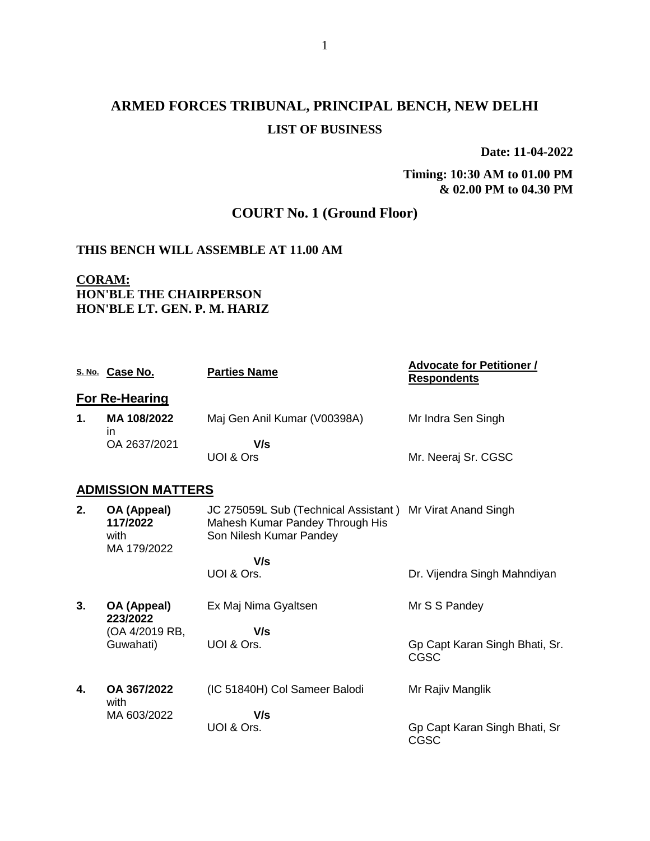# **ARMED FORCES TRIBUNAL, PRINCIPAL BENCH, NEW DELHI LIST OF BUSINESS**

**Date: 11-04-2022**

**Timing: 10:30 AM to 01.00 PM & 02.00 PM to 04.30 PM**

# **COURT No. 1 (Ground Floor)**

#### **THIS BENCH WILL ASSEMBLE AT 11.00 AM**

### **CORAM: HON'BLE THE CHAIRPERSON HON'BLE LT. GEN. P. M. HARIZ**

|    | S. No. Case No.                                | <b>Parties Name</b>                                                                                                     | <b>Advocate for Petitioner /</b><br><b>Respondents</b> |
|----|------------------------------------------------|-------------------------------------------------------------------------------------------------------------------------|--------------------------------------------------------|
|    | <b>For Re-Hearing</b>                          |                                                                                                                         |                                                        |
| 1. | MA 108/2022<br>in.                             | Maj Gen Anil Kumar (V00398A)                                                                                            | Mr Indra Sen Singh                                     |
|    | OA 2637/2021                                   | V/s                                                                                                                     |                                                        |
|    |                                                | UOI & Ors                                                                                                               | Mr. Neeraj Sr. CGSC                                    |
|    | <b>ADMISSION MATTERS</b>                       |                                                                                                                         |                                                        |
| 2. | OA (Appeal)<br>117/2022<br>with<br>MA 179/2022 | JC 275059L Sub (Technical Assistant) Mr Virat Anand Singh<br>Mahesh Kumar Pandey Through His<br>Son Nilesh Kumar Pandey |                                                        |
|    |                                                | V/s                                                                                                                     |                                                        |
|    |                                                | UOI & Ors.                                                                                                              | Dr. Vijendra Singh Mahndiyan                           |
| 3. | OA (Appeal)<br>223/2022                        | Ex Maj Nima Gyaltsen                                                                                                    | Mr S S Pandey                                          |
|    | (OA 4/2019 RB,                                 | V/s                                                                                                                     |                                                        |
|    | Guwahati)                                      | UOI & Ors.                                                                                                              | Gp Capt Karan Singh Bhati, Sr.<br>CGSC                 |
| 4. | OA 367/2022<br>with                            | (IC 51840H) Col Sameer Balodi                                                                                           | Mr Rajiv Manglik                                       |
|    | MA 603/2022                                    | V/s                                                                                                                     |                                                        |
|    |                                                | UOI & Ors.                                                                                                              | Gp Capt Karan Singh Bhati, Sr<br>CGSC                  |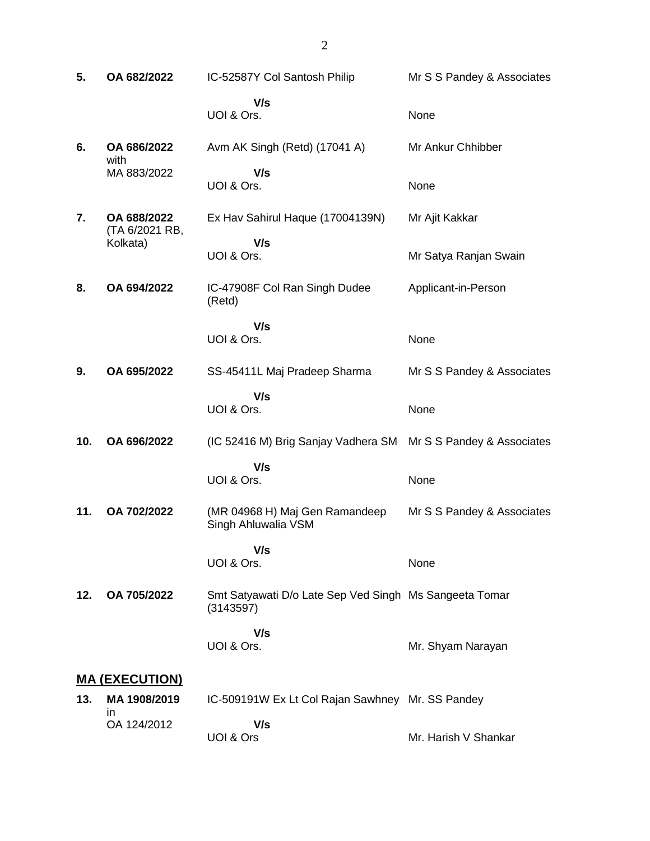| 5.  | OA 682/2022                   | IC-52587Y Col Santosh Philip                                        | Mr S S Pandey & Associates |
|-----|-------------------------------|---------------------------------------------------------------------|----------------------------|
|     |                               | V/s<br>UOI & Ors.                                                   | None                       |
| 6.  | OA 686/2022<br>with           | Avm AK Singh (Retd) (17041 A)                                       | Mr Ankur Chhibber          |
|     | MA 883/2022                   | V/s<br>UOI & Ors.                                                   | None                       |
| 7.  | OA 688/2022<br>(TA 6/2021 RB, | Ex Hav Sahirul Haque (17004139N)                                    | Mr Ajit Kakkar             |
|     | Kolkata)                      | V/s<br>UOI & Ors.                                                   | Mr Satya Ranjan Swain      |
| 8.  | OA 694/2022                   | IC-47908F Col Ran Singh Dudee<br>(Retd)                             | Applicant-in-Person        |
|     |                               | V/s<br>UOI & Ors.                                                   | None                       |
| 9.  | OA 695/2022                   | SS-45411L Maj Pradeep Sharma                                        | Mr S S Pandey & Associates |
|     |                               | V/s<br>UOI & Ors.                                                   | None                       |
| 10. | OA 696/2022                   | (IC 52416 M) Brig Sanjay Vadhera SM                                 | Mr S S Pandey & Associates |
|     |                               | V/s<br>UOI & Ors.                                                   | None                       |
| 11. | OA 702/2022                   | (MR 04968 H) Maj Gen Ramandeep<br>Singh Ahluwalia VSM               | Mr S S Pandey & Associates |
|     |                               | V/s<br>UOI & Ors.                                                   | None                       |
| 12. | OA 705/2022                   | Smt Satyawati D/o Late Sep Ved Singh Ms Sangeeta Tomar<br>(3143597) |                            |
|     |                               | V/s<br>UOI & Ors.                                                   | Mr. Shyam Narayan          |
|     | <b>MA (EXECUTION)</b>         |                                                                     |                            |
| 13. | MA 1908/2019<br>in.           | IC-509191W Ex Lt Col Rajan Sawhney Mr. SS Pandey                    |                            |
|     | OA 124/2012                   | V/s                                                                 |                            |

 **V/s** UOI & Ors Mr. Harish V Shankar

2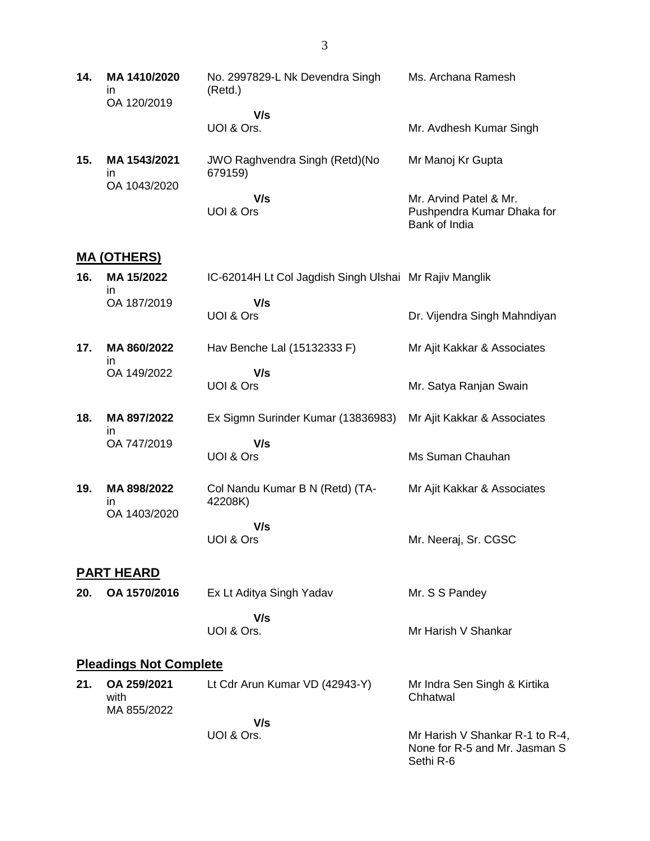| 14. | MA 1410/2020<br>in<br>OA 120/2019  | No. 2997829-L Nk Devendra Singh<br>(Retd.)        | Ms. Archana Ramesh                          |
|-----|------------------------------------|---------------------------------------------------|---------------------------------------------|
|     |                                    | V/s                                               |                                             |
|     |                                    | UOI & Ors.                                        | Mr. Avdhesh Kumar Singh                     |
| 15. | MA 1543/2021<br>in<br>OA 1043/2020 | <b>JWO Raghvendra Singh (Retd) (No</b><br>679159) | Mr Manoj Kr Gupta                           |
|     |                                    | V/s                                               | Mr. Arvind Patel & Mr.                      |
|     |                                    | UOI & Ors                                         | Pushpendra Kumar Dhaka for<br>Bank of India |

#### **MA (OTHERS)**

| 16. | MA 15/2022  | IC-62014H Lt Col Jagdish Singh Ulshai Mr Rajiv Manglik |                              |
|-----|-------------|--------------------------------------------------------|------------------------------|
|     | OA 187/2019 | V/s                                                    |                              |
|     |             | UOI & Ors                                              | Dr. Vijendra Singh Mahndiyan |

- **17. MA 860/2022** in OA 149/2022 Hav Benche Lal (15132333 F)  **V/s** UOI & Ors Mr Ajit Kakkar & Associates Mr. Satya Ranjan Swain
- **18. MA 897/2022** in OA 747/2019 Ex Sigmn Surinder Kumar (13836983) Mr Ajit Kakkar & Associates  **V/s**

Ms Suman Chauhan

Mr. Neeraj, Sr. CGSC

Sethi R-6

UOI & Ors

**19. MA 898/2022** in OA 1403/2020 Col Nandu Kumar B N (Retd) (TA-42208K)  **V/s** Mr Ajit Kakkar & Associates

UOI & Ors

#### **PART HEARD**

**20. OA 1570/2016** Ex Lt Aditya Singh Yadav  **V/s** UOI & Ors. Mr. S S Pandey Mr Harish V Shankar

### **Pleadings Not Complete**

| 21. | OA 259/2021<br>with | Lt Cdr Arun Kumar VD (42943-Y) | Mr Indra Sen Singh & Kirtika<br>Chhatwal                         |
|-----|---------------------|--------------------------------|------------------------------------------------------------------|
|     | MA 855/2022         |                                |                                                                  |
|     |                     | V/s                            |                                                                  |
|     |                     | UOI & Ors.                     | Mr Harish V Shankar R-1 to R-4,<br>None for R-5 and Mr. Jasman S |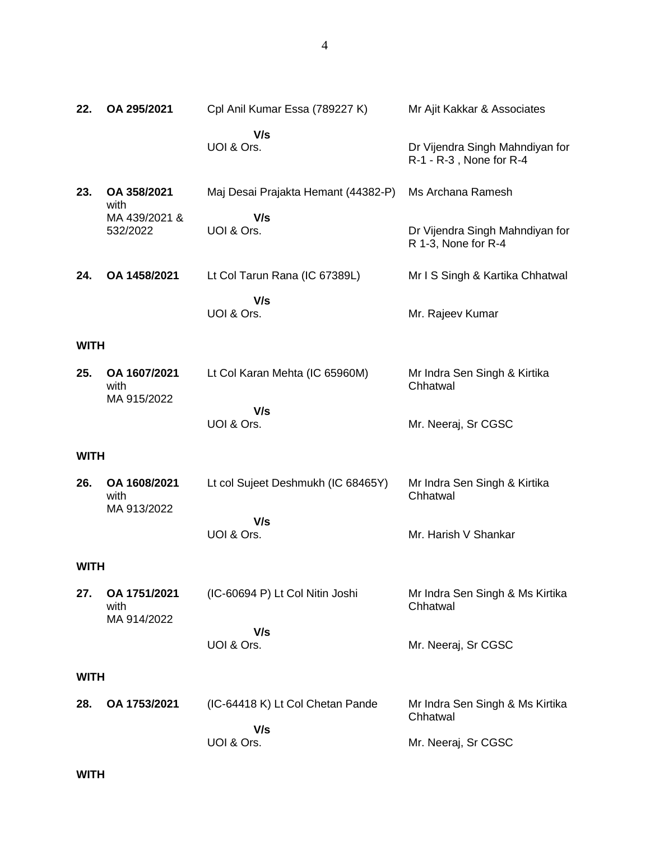| 22.         | OA 295/2021                         | Cpl Anil Kumar Essa (789227 K)          | Mr Ajit Kakkar & Associates                                |
|-------------|-------------------------------------|-----------------------------------------|------------------------------------------------------------|
|             |                                     | V/s<br>UOI & Ors.                       | Dr Vijendra Singh Mahndiyan for<br>R-1 - R-3, None for R-4 |
| 23.         | OA 358/2021<br>with                 | Maj Desai Prajakta Hemant (44382-P)     | Ms Archana Ramesh                                          |
|             | MA 439/2021 &<br>532/2022           | V/s<br>UOI & Ors.                       | Dr Vijendra Singh Mahndiyan for<br>R 1-3, None for R-4     |
| 24.         | OA 1458/2021                        | Lt Col Tarun Rana (IC 67389L)           | Mr I S Singh & Kartika Chhatwal                            |
|             |                                     | V/s<br>UOI & Ors.                       | Mr. Rajeev Kumar                                           |
| <b>WITH</b> |                                     |                                         |                                                            |
| 25.         | OA 1607/2021<br>with<br>MA 915/2022 | Lt Col Karan Mehta (IC 65960M)          | Mr Indra Sen Singh & Kirtika<br>Chhatwal                   |
|             |                                     | V/s<br>UOI & Ors.                       | Mr. Neeraj, Sr CGSC                                        |
| <b>WITH</b> |                                     |                                         |                                                            |
| 26.         | OA 1608/2021<br>with<br>MA 913/2022 | Lt col Sujeet Deshmukh (IC 68465Y)      | Mr Indra Sen Singh & Kirtika<br>Chhatwal                   |
|             |                                     | V/s<br>UOI & Ors.                       | Mr. Harish V Shankar                                       |
| <b>WITH</b> |                                     |                                         |                                                            |
| 27.         | OA 1751/2021<br>with<br>MA 914/2022 | (IC-60694 P) Lt Col Nitin Joshi         | Mr Indra Sen Singh & Ms Kirtika<br>Chhatwal                |
|             |                                     | V/s<br>UOI & Ors.                       | Mr. Neeraj, Sr CGSC                                        |
| <b>WITH</b> |                                     |                                         |                                                            |
| 28.         | OA 1753/2021                        | (IC-64418 K) Lt Col Chetan Pande<br>V/s | Mr Indra Sen Singh & Ms Kirtika<br>Chhatwal                |
|             |                                     | UOI & Ors.                              | Mr. Neeraj, Sr CGSC                                        |

**WITH**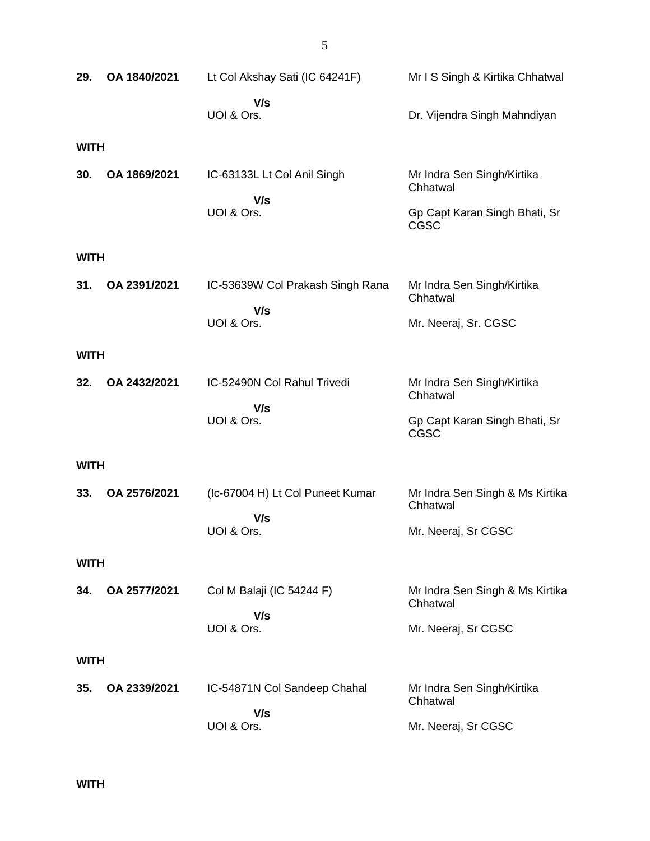| 29.         | OA 1840/2021 | Lt Col Akshay Sati (IC 64241F)          | Mr I S Singh & Kirtika Chhatwal              |
|-------------|--------------|-----------------------------------------|----------------------------------------------|
|             |              | V/s<br>UOI & Ors.                       | Dr. Vijendra Singh Mahndiyan                 |
| <b>WITH</b> |              |                                         |                                              |
| 30.         | OA 1869/2021 | IC-63133L Lt Col Anil Singh<br>V/s      | Mr Indra Sen Singh/Kirtika<br>Chhatwal       |
|             |              | UOI & Ors.                              | Gp Capt Karan Singh Bhati, Sr<br><b>CGSC</b> |
| <b>WITH</b> |              |                                         |                                              |
| 31.         | OA 2391/2021 | IC-53639W Col Prakash Singh Rana<br>V/s | Mr Indra Sen Singh/Kirtika<br>Chhatwal       |
|             |              | UOI & Ors.                              | Mr. Neeraj, Sr. CGSC                         |
| <b>WITH</b> |              |                                         |                                              |
| 32.         | OA 2432/2021 | IC-52490N Col Rahul Trivedi             | Mr Indra Sen Singh/Kirtika<br>Chhatwal       |
|             |              | V/s<br>UOI & Ors.                       | Gp Capt Karan Singh Bhati, Sr<br><b>CGSC</b> |
| <b>WITH</b> |              |                                         |                                              |
| 33.         | OA 2576/2021 | (Ic-67004 H) Lt Col Puneet Kumar        | Mr Indra Sen Singh & Ms Kirtika<br>Chhatwal  |
|             |              | V/s<br>UOI & Ors.                       | Mr. Neeraj, Sr CGSC                          |
| <b>WITH</b> |              |                                         |                                              |
| 34.         | OA 2577/2021 | Col M Balaji (IC 54244 F)               | Mr Indra Sen Singh & Ms Kirtika<br>Chhatwal  |
|             |              | V/s<br>UOI & Ors.                       | Mr. Neeraj, Sr CGSC                          |
| <b>WITH</b> |              |                                         |                                              |
| 35.         | OA 2339/2021 | IC-54871N Col Sandeep Chahal            | Mr Indra Sen Singh/Kirtika<br>Chhatwal       |
|             |              | V/s<br>UOI & Ors.                       | Mr. Neeraj, Sr CGSC                          |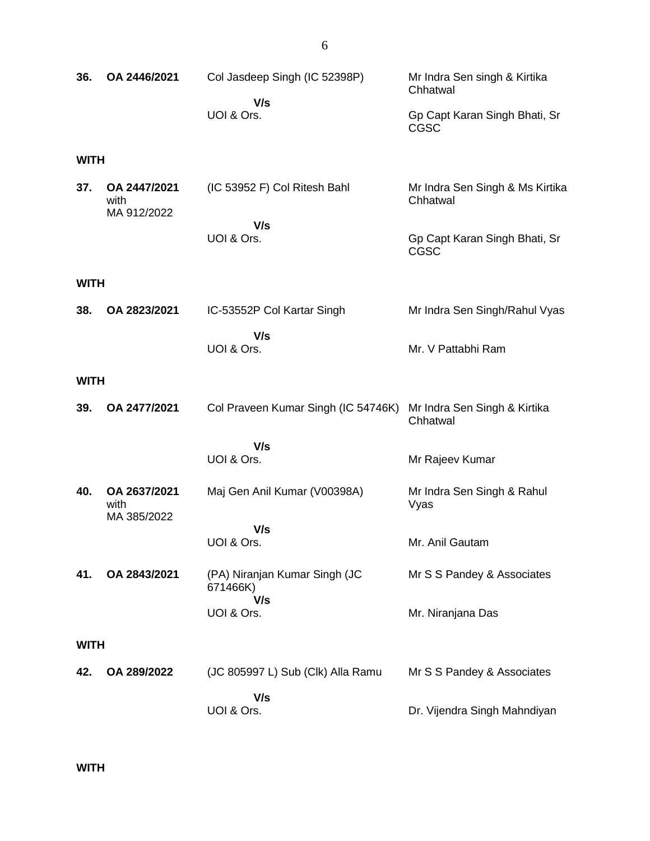| 36.                | OA 2446/2021                        | Col Jasdeep Singh (IC 52398P)<br>V/s<br>UOI & Ors. | Mr Indra Sen singh & Kirtika<br>Chhatwal<br>Gp Capt Karan Singh Bhati, Sr<br>CGSC           |
|--------------------|-------------------------------------|----------------------------------------------------|---------------------------------------------------------------------------------------------|
| <b>WITH</b><br>37. | OA 2447/2021<br>with<br>MA 912/2022 | (IC 53952 F) Col Ritesh Bahl<br>V/s<br>UOI & Ors.  | Mr Indra Sen Singh & Ms Kirtika<br>Chhatwal<br>Gp Capt Karan Singh Bhati, Sr<br><b>CGSC</b> |
| <b>WITH</b>        |                                     |                                                    |                                                                                             |
| 38.                | OA 2823/2021                        | IC-53552P Col Kartar Singh<br>V/s<br>UOI & Ors.    | Mr Indra Sen Singh/Rahul Vyas<br>Mr. V Pattabhi Ram                                         |
| <b>WITH</b>        |                                     |                                                    |                                                                                             |
| 39.                | OA 2477/2021                        | Col Praveen Kumar Singh (IC 54746K)                | Mr Indra Sen Singh & Kirtika<br>Chhatwal                                                    |
|                    |                                     | V/s<br>UOI & Ors.                                  | Mr Rajeev Kumar                                                                             |
| 40.                | OA 2637/2021<br>with<br>MA 385/2022 | Maj Gen Anil Kumar (V00398A)                       | Mr Indra Sen Singh & Rahul<br>Vyas                                                          |
|                    |                                     | V/s<br>UOI & Ors.                                  | Mr. Anil Gautam                                                                             |
| 41.                | OA 2843/2021                        | (PA) Niranjan Kumar Singh (JC<br>671466K)<br>V/s   | Mr S S Pandey & Associates                                                                  |
|                    |                                     | UOI & Ors.                                         | Mr. Niranjana Das                                                                           |
| <b>WITH</b>        |                                     |                                                    |                                                                                             |
| 42.                | OA 289/2022                         | (JC 805997 L) Sub (Clk) Alla Ramu                  | Mr S S Pandey & Associates                                                                  |
|                    |                                     | V/s<br>UOI & Ors.                                  | Dr. Vijendra Singh Mahndiyan                                                                |

**WITH**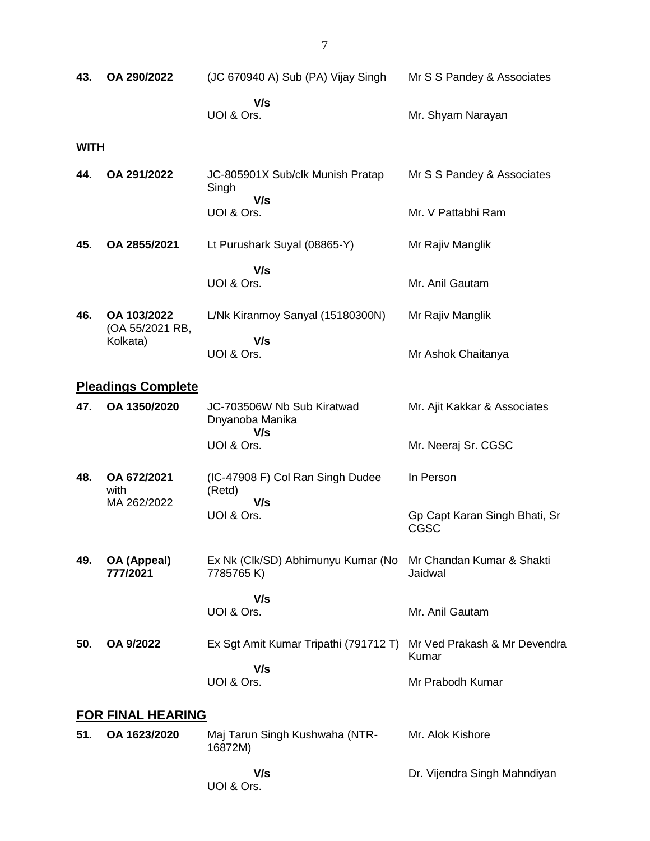| 43.         | OA 290/2022                    | (JC 670940 A) Sub (PA) Vijay Singh                                        | Mr S S Pandey & Associates            |
|-------------|--------------------------------|---------------------------------------------------------------------------|---------------------------------------|
|             |                                | V/s<br>UOI & Ors.                                                         | Mr. Shyam Narayan                     |
| <b>WITH</b> |                                |                                                                           |                                       |
| 44.         | OA 291/2022                    | JC-805901X Sub/clk Munish Pratap<br>Singh<br>V/s                          | Mr S S Pandey & Associates            |
|             |                                | UOI & Ors.                                                                | Mr. V Pattabhi Ram                    |
| 45.         | OA 2855/2021                   | Lt Purushark Suyal (08865-Y)                                              | Mr Rajiv Manglik                      |
|             |                                | V/s<br>UOI & Ors.                                                         | Mr. Anil Gautam                       |
| 46.         | OA 103/2022<br>(OA 55/2021 RB, | L/Nk Kiranmoy Sanyal (15180300N)                                          | Mr Rajiv Manglik                      |
|             | Kolkata)                       | V/s<br>UOI & Ors.                                                         | Mr Ashok Chaitanya                    |
|             | <b>Pleadings Complete</b>      |                                                                           |                                       |
| 47.         | OA 1350/2020                   | JC-703506W Nb Sub Kiratwad<br>Dnyanoba Manika<br>V/s                      | Mr. Ajit Kakkar & Associates          |
|             |                                | UOI & Ors.                                                                | Mr. Neeraj Sr. CGSC                   |
| 48.         | OA 672/2021<br>with            | (IC-47908 F) Col Ran Singh Dudee<br>(Retd)                                | In Person                             |
|             | MA 262/2022                    | V/s<br>UOI & Ors.                                                         | Gp Capt Karan Singh Bhati, Sr<br>CGSC |
| 49.         | OA (Appeal)<br>777/2021        | Ex Nk (Clk/SD) Abhimunyu Kumar (No Mr Chandan Kumar & Shakti<br>7785765K) | Jaidwal                               |
|             |                                | V/s<br>UOI & Ors.                                                         | Mr. Anil Gautam                       |
| 50.         | OA 9/2022                      | Ex Sgt Amit Kumar Tripathi (791712 T)                                     | Mr Ved Prakash & Mr Devendra<br>Kumar |
|             |                                | V/s<br>UOI & Ors.                                                         | Mr Prabodh Kumar                      |
|             | <b>FOR FINAL HEARING</b>       |                                                                           |                                       |
| 51.         | OA 1623/2020                   | Maj Tarun Singh Kushwaha (NTR-<br>16872M)                                 | Mr. Alok Kishore                      |
|             |                                | V/s<br>UOI & Ors.                                                         | Dr. Vijendra Singh Mahndiyan          |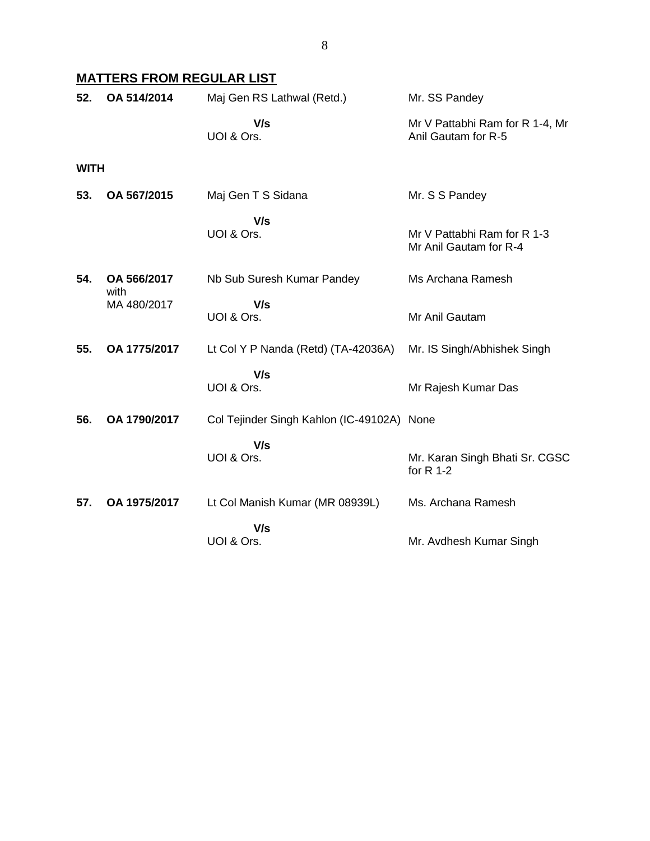## **MATTERS FROM REGULAR LIST**

| 52.         | OA 514/2014         | Maj Gen RS Lathwal (Retd.)                 | Mr. SS Pandey                                          |
|-------------|---------------------|--------------------------------------------|--------------------------------------------------------|
|             |                     | V/s<br>UOI & Ors.                          | Mr V Pattabhi Ram for R 1-4, Mr<br>Anil Gautam for R-5 |
| <b>WITH</b> |                     |                                            |                                                        |
| 53.         | OA 567/2015         | Maj Gen T S Sidana                         | Mr. S S Pandey                                         |
|             |                     | V/s<br>UOI & Ors.                          | Mr V Pattabhi Ram for R 1-3<br>Mr Anil Gautam for R-4  |
| 54.         | OA 566/2017<br>with | Nb Sub Suresh Kumar Pandey                 | Ms Archana Ramesh                                      |
|             | MA 480/2017         | V/s<br>UOI & Ors.                          | Mr Anil Gautam                                         |
| 55.         | OA 1775/2017        | Lt Col Y P Nanda (Retd) (TA-42036A)        | Mr. IS Singh/Abhishek Singh                            |
|             |                     | V/s<br>UOI & Ors.                          | Mr Rajesh Kumar Das                                    |
| 56.         | OA 1790/2017        | Col Tejinder Singh Kahlon (IC-49102A) None |                                                        |
|             |                     | V/s<br>UOI & Ors.                          | Mr. Karan Singh Bhati Sr. CGSC<br>for $R$ 1-2          |
| 57.         | OA 1975/2017        | Lt Col Manish Kumar (MR 08939L)            | Ms. Archana Ramesh                                     |
|             |                     | V/s<br>UOI & Ors.                          | Mr. Avdhesh Kumar Singh                                |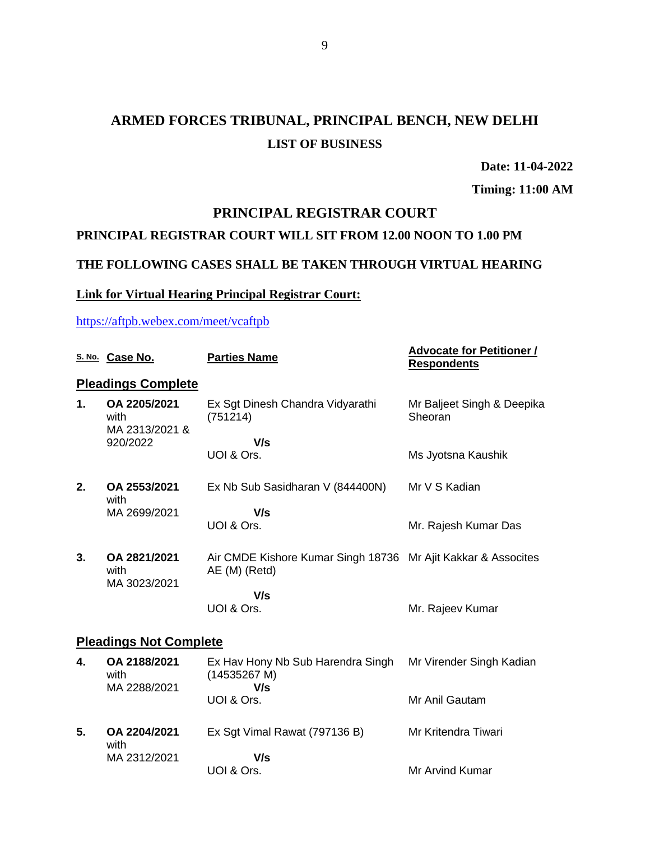# **ARMED FORCES TRIBUNAL, PRINCIPAL BENCH, NEW DELHI LIST OF BUSINESS**

**Date: 11-04-2022**

**Timing: 11:00 AM**

### **PRINCIPAL REGISTRAR COURT**

## **PRINCIPAL REGISTRAR COURT WILL SIT FROM 12.00 NOON TO 1.00 PM**

### **THE FOLLOWING CASES SHALL BE TAKEN THROUGH VIRTUAL HEARING**

### **Link for Virtual Hearing Principal Registrar Court:**

#### <https://aftpb.webex.com/meet/vcaftpb>

|    | S. No. Case No.                        | <b>Parties Name</b>                                                            | <b>Advocate for Petitioner /</b><br><b>Respondents</b> |
|----|----------------------------------------|--------------------------------------------------------------------------------|--------------------------------------------------------|
|    | <b>Pleadings Complete</b>              |                                                                                |                                                        |
| 1. | OA 2205/2021<br>with<br>MA 2313/2021 & | Ex Sgt Dinesh Chandra Vidyarathi<br>(751214)                                   | Mr Baljeet Singh & Deepika<br>Sheoran                  |
|    | 920/2022                               | V/s                                                                            |                                                        |
|    |                                        | UOI & Ors.                                                                     | Ms Jyotsna Kaushik                                     |
| 2. | OA 2553/2021<br>with                   | Ex Nb Sub Sasidharan V (844400N)                                               | Mr V S Kadian                                          |
|    | MA 2699/2021                           | V/s                                                                            |                                                        |
|    |                                        | UOI & Ors.                                                                     | Mr. Rajesh Kumar Das                                   |
| 3. | OA 2821/2021<br>with<br>MA 3023/2021   | Air CMDE Kishore Kumar Singh 18736 Mr Ajit Kakkar & Assocites<br>AE (M) (Retd) |                                                        |
|    |                                        | V/s                                                                            |                                                        |
|    |                                        | UOI & Ors.                                                                     | Mr. Rajeev Kumar                                       |
|    | <b>Pleadings Not Complete</b>          |                                                                                |                                                        |
| 4. | OA 2188/2021<br>with                   | Ex Hav Hony Nb Sub Harendra Singh<br>(14535267 M)<br>V/s                       | Mr Virender Singh Kadian                               |
|    | MA 2288/2021                           | UOI & Ors.                                                                     | Mr Anil Gautam                                         |
| 5. | OA 2204/2021<br>with                   | Ex Sgt Vimal Rawat (797136 B)                                                  | Mr Kritendra Tiwari                                    |
|    | MA 2312/2021                           | V/s                                                                            |                                                        |
|    |                                        | UOI & Ors.                                                                     | <b>Mr Arvind Kumar</b>                                 |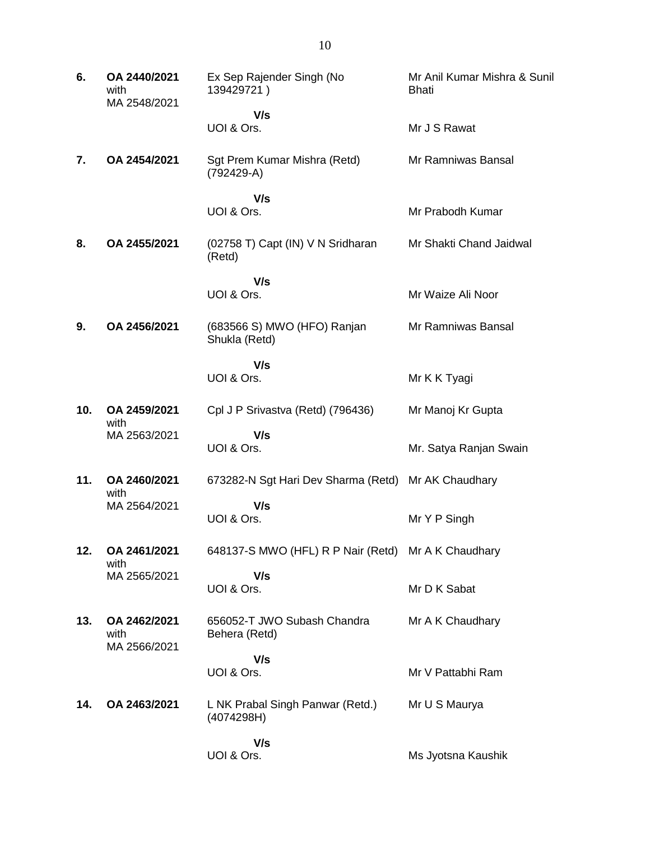| 6.  | OA 2440/2021<br>with<br>MA 2548/2021 | Ex Sep Rajender Singh (No<br>139429721)             | Mr Anil Kumar Mishra & Sunil<br>Bhati |
|-----|--------------------------------------|-----------------------------------------------------|---------------------------------------|
|     |                                      | V/s                                                 |                                       |
|     |                                      | UOI & Ors.                                          | Mr J S Rawat                          |
| 7.  | OA 2454/2021                         | Sgt Prem Kumar Mishra (Retd)<br>$(792429-A)$        | Mr Ramniwas Bansal                    |
|     |                                      | V/s<br>UOI & Ors.                                   | Mr Prabodh Kumar                      |
| 8.  | OA 2455/2021                         | (02758 T) Capt (IN) V N Sridharan<br>(Retd)         | Mr Shakti Chand Jaidwal               |
|     |                                      | V/s                                                 |                                       |
|     |                                      | UOI & Ors.                                          | Mr Waize Ali Noor                     |
| 9.  | OA 2456/2021                         | (683566 S) MWO (HFO) Ranjan<br>Shukla (Retd)        | Mr Ramniwas Bansal                    |
|     |                                      | V/s                                                 |                                       |
|     |                                      | UOI & Ors.                                          | Mr K K Tyagi                          |
| 10. | OA 2459/2021<br>with                 | Cpl J P Srivastva (Retd) (796436)                   | Mr Manoj Kr Gupta                     |
|     | MA 2563/2021                         | V/s<br>UOI & Ors.                                   | Mr. Satya Ranjan Swain                |
| 11. | OA 2460/2021<br>with                 | 673282-N Sgt Hari Dev Sharma (Retd)                 | Mr AK Chaudhary                       |
|     | MA 2564/2021                         | V/s<br>UOI & Ors.                                   | Mr Y P Singh                          |
| 12. | OA 2461/2021<br>with                 | 648137-S MWO (HFL) R P Nair (Retd) Mr A K Chaudhary |                                       |
|     | MA 2565/2021                         | V/s<br>UOI & Ors.                                   | Mr D K Sabat                          |
| 13. | OA 2462/2021<br>with<br>MA 2566/2021 | 656052-T JWO Subash Chandra<br>Behera (Retd)        | Mr A K Chaudhary                      |
|     |                                      | V/s                                                 |                                       |
|     |                                      | UOI & Ors.                                          | Mr V Pattabhi Ram                     |
| 14. | OA 2463/2021                         | L NK Prabal Singh Panwar (Retd.)<br>(4074298H)      | Mr U S Maurya                         |
|     |                                      | V/s                                                 |                                       |
|     |                                      | UOI & Ors.                                          | Ms Jyotsna Kaushik                    |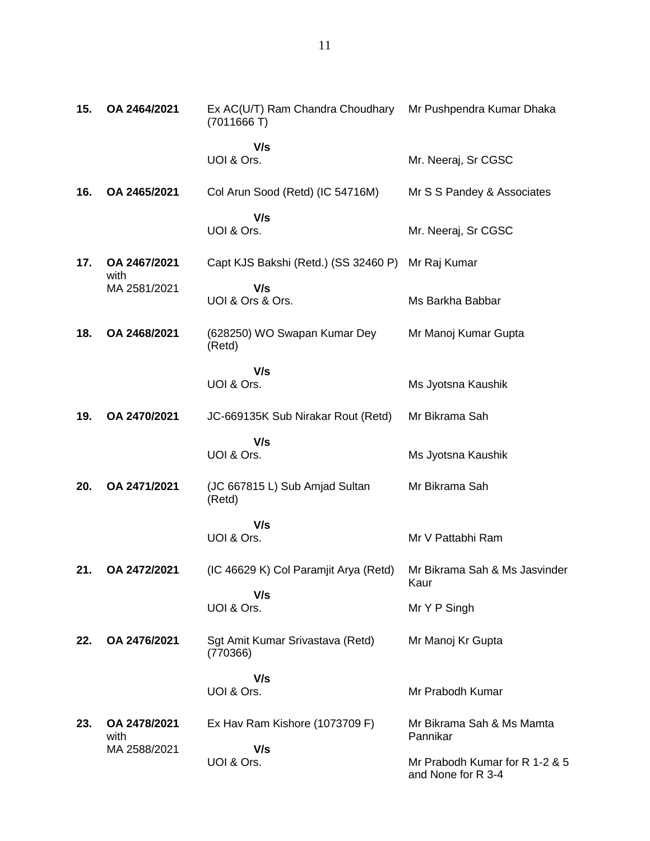| 15. | OA 2464/2021         | Ex AC(U/T) Ram Chandra Choudhary Mr Pushpendra Kumar Dhaka<br>(7011666T) |                                                      |
|-----|----------------------|--------------------------------------------------------------------------|------------------------------------------------------|
|     |                      | V/s<br>UOI & Ors.                                                        | Mr. Neeraj, Sr CGSC                                  |
| 16. | OA 2465/2021         | Col Arun Sood (Retd) (IC 54716M)                                         | Mr S S Pandey & Associates                           |
|     |                      | V/s<br>UOI & Ors.                                                        | Mr. Neeraj, Sr CGSC                                  |
| 17. | OA 2467/2021<br>with | Capt KJS Bakshi (Retd.) (SS 32460 P)                                     | Mr Raj Kumar                                         |
|     | MA 2581/2021         | V/s<br>UOI & Ors & Ors.                                                  | Ms Barkha Babbar                                     |
| 18. | OA 2468/2021         | (628250) WO Swapan Kumar Dey<br>(Retd)                                   | Mr Manoj Kumar Gupta                                 |
|     |                      | V/s<br>UOI & Ors.                                                        | Ms Jyotsna Kaushik                                   |
| 19. | OA 2470/2021         | JC-669135K Sub Nirakar Rout (Retd)                                       | Mr Bikrama Sah                                       |
|     |                      | V/s<br>UOI & Ors.                                                        | Ms Jyotsna Kaushik                                   |
| 20. | OA 2471/2021         | (JC 667815 L) Sub Amjad Sultan<br>(Retd)                                 | Mr Bikrama Sah                                       |
|     |                      | V/s<br>UOI & Ors.                                                        | Mr V Pattabhi Ram                                    |
| 21. | OA 2472/2021         | (IC 46629 K) Col Paramjit Arya (Retd)                                    | Mr Bikrama Sah & Ms Jasvinder<br>Kaur                |
|     |                      | V/s<br>UOI & Ors.                                                        | Mr Y P Singh                                         |
| 22. | OA 2476/2021         | Sgt Amit Kumar Srivastava (Retd)<br>(770366)                             | Mr Manoj Kr Gupta                                    |
|     |                      | V/s<br>UOI & Ors.                                                        | Mr Prabodh Kumar                                     |
| 23. | OA 2478/2021<br>with | Ex Hav Ram Kishore (1073709 F)                                           | Mr Bikrama Sah & Ms Mamta<br>Pannikar                |
|     | MA 2588/2021         | V/s<br>UOI & Ors.                                                        | Mr Prabodh Kumar for R 1-2 & 5<br>and None for R 3-4 |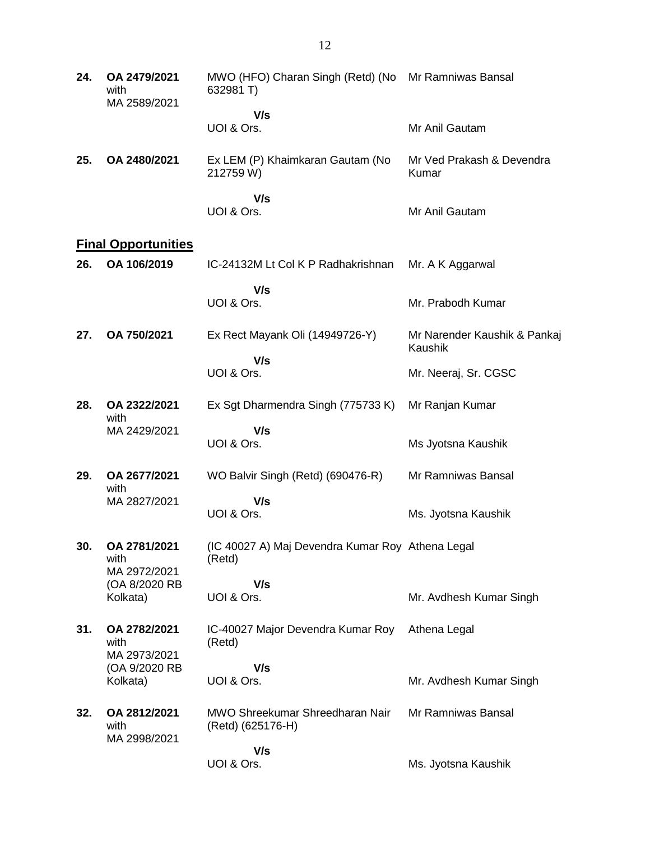| 24. | OA 2479/2021<br>with<br>MA 2589/2021 | MWO (HFO) Charan Singh (Retd) (No Mr Ramniwas Bansal<br>632981 T) |                                         |
|-----|--------------------------------------|-------------------------------------------------------------------|-----------------------------------------|
|     |                                      | V/s                                                               |                                         |
|     |                                      | UOI & Ors.                                                        | Mr Anil Gautam                          |
| 25. | OA 2480/2021                         | Ex LEM (P) Khaimkaran Gautam (No<br>212759 W)                     | Mr Ved Prakash & Devendra<br>Kumar      |
|     |                                      | V/s<br>UOI & Ors.                                                 | Mr Anil Gautam                          |
|     | <b>Final Opportunities</b>           |                                                                   |                                         |
| 26. | OA 106/2019                          | IC-24132M Lt Col K P Radhakrishnan                                | Mr. A K Aggarwal                        |
|     |                                      | V/s<br>UOI & Ors.                                                 | Mr. Prabodh Kumar                       |
| 27. | OA 750/2021                          | Ex Rect Mayank Oli (14949726-Y)                                   | Mr Narender Kaushik & Pankaj<br>Kaushik |
|     |                                      | V/s<br>UOI & Ors.                                                 | Mr. Neeraj, Sr. CGSC                    |
| 28. | OA 2322/2021<br>with<br>MA 2429/2021 | Ex Sgt Dharmendra Singh (775733 K)                                | Mr Ranjan Kumar                         |
|     |                                      | V/s<br>UOI & Ors.                                                 | Ms Jyotsna Kaushik                      |
| 29. | OA 2677/2021<br>with                 | WO Balvir Singh (Retd) (690476-R)                                 | Mr Ramniwas Bansal                      |
|     | MA 2827/2021                         | V/s<br>UOI & Ors.                                                 | Ms. Jyotsna Kaushik                     |
| 30. | OA 2781/2021<br>with                 | (IC 40027 A) Maj Devendra Kumar Roy Athena Legal<br>(Retd)        |                                         |
|     | MA 2972/2021<br>(OA 8/2020 RB        | V/s                                                               |                                         |
|     | Kolkata)                             | UOI & Ors.                                                        | Mr. Avdhesh Kumar Singh                 |
| 31. | OA 2782/2021<br>with<br>MA 2973/2021 | IC-40027 Major Devendra Kumar Roy<br>(Retd)                       | Athena Legal                            |
|     | (OA 9/2020 RB                        | V/s                                                               |                                         |
|     | Kolkata)                             | UOI & Ors.                                                        | Mr. Avdhesh Kumar Singh                 |
| 32. | OA 2812/2021<br>with<br>MA 2998/2021 | MWO Shreekumar Shreedharan Nair<br>(Retd) (625176-H)              | Mr Ramniwas Bansal                      |
|     |                                      | V/s                                                               |                                         |
|     |                                      | UOI & Ors.                                                        | Ms. Jyotsna Kaushik                     |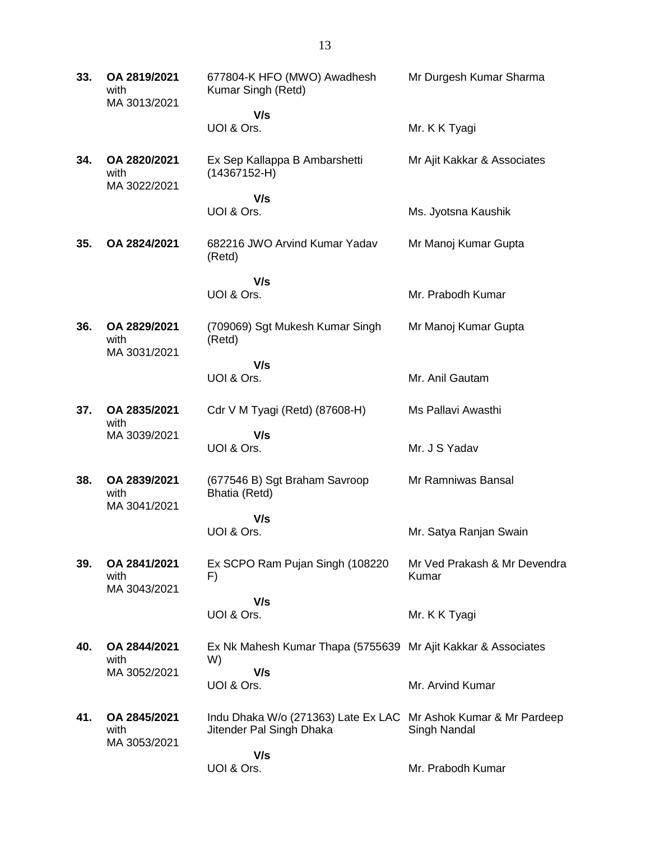| 33. | OA 2819/2021<br>with<br>MA 3013/2021 | 677804-K HFO (MWO) Awadhesh<br>Kumar Singh (Retd)                                           | Mr Durgesh Kumar Sharma               |
|-----|--------------------------------------|---------------------------------------------------------------------------------------------|---------------------------------------|
|     |                                      | V/s<br>UOI & Ors.                                                                           | Mr. K K Tyagi                         |
| 34. | OA 2820/2021<br>with<br>MA 3022/2021 | Ex Sep Kallappa B Ambarshetti<br>$(14367152-H)$                                             | Mr Ajit Kakkar & Associates           |
|     |                                      | V/s<br>UOI & Ors.                                                                           | Ms. Jyotsna Kaushik                   |
| 35. | OA 2824/2021                         | 682216 JWO Arvind Kumar Yadav<br>(Retd)                                                     | Mr Manoj Kumar Gupta                  |
|     |                                      | V/s<br>UOI & Ors.                                                                           | Mr. Prabodh Kumar                     |
| 36. | OA 2829/2021<br>with<br>MA 3031/2021 | (709069) Sgt Mukesh Kumar Singh<br>(Retd)                                                   | Mr Manoj Kumar Gupta                  |
|     |                                      | V/s<br>UOI & Ors.                                                                           | Mr. Anil Gautam                       |
| 37. | OA 2835/2021<br>with<br>MA 3039/2021 | Cdr V M Tyagi (Retd) (87608-H)                                                              | Ms Pallavi Awasthi                    |
|     |                                      | V/s<br>UOI & Ors.                                                                           | Mr. J S Yadav                         |
| 38. | OA 2839/2021<br>with                 | (677546 B) Sgt Braham Savroop<br>Bhatia (Retd)                                              | Mr Ramniwas Bansal                    |
|     | MA 3041/2021                         | V/s<br>UOI & Ors.                                                                           | Mr. Satya Ranjan Swain                |
| 39. | OA 2841/2021<br>with<br>MA 3043/2021 | Ex SCPO Ram Pujan Singh (108220)<br>F)                                                      | Mr Ved Prakash & Mr Devendra<br>Kumar |
|     |                                      | V/s<br>UOI & Ors.                                                                           | Mr. K K Tyagi                         |
| 40. | OA 2844/2021<br>with<br>MA 3052/2021 | Ex Nk Mahesh Kumar Thapa (5755639 Mr Ajit Kakkar & Associates<br>W)                         |                                       |
|     |                                      | V/s<br>UOI & Ors.                                                                           | Mr. Arvind Kumar                      |
| 41. | OA 2845/2021<br>with<br>MA 3053/2021 | Indu Dhaka W/o (271363) Late Ex LAC Mr Ashok Kumar & Mr Pardeep<br>Jitender Pal Singh Dhaka | Singh Nandal                          |
|     |                                      | V/s<br>UOI & Ors.                                                                           | Mr. Prabodh Kumar                     |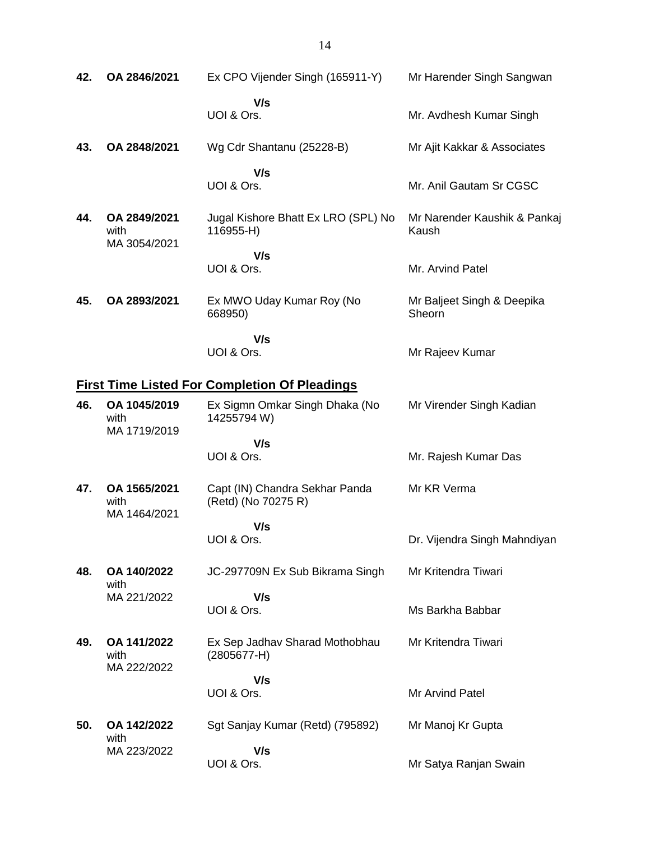| 42.                                                  | OA 2846/2021                         | Ex CPO Vijender Singh (165911-Y)                      | Mr Harender Singh Sangwan             |
|------------------------------------------------------|--------------------------------------|-------------------------------------------------------|---------------------------------------|
|                                                      |                                      | V/s<br>UOI & Ors.                                     | Mr. Avdhesh Kumar Singh               |
| 43.                                                  | OA 2848/2021                         | Wg Cdr Shantanu (25228-B)                             | Mr Ajit Kakkar & Associates           |
|                                                      |                                      | V/s<br>UOI & Ors.                                     | Mr. Anil Gautam Sr CGSC               |
| 44.                                                  | OA 2849/2021<br>with<br>MA 3054/2021 | Jugal Kishore Bhatt Ex LRO (SPL) No<br>116955-H)      | Mr Narender Kaushik & Pankaj<br>Kaush |
|                                                      |                                      | V/s<br>UOI & Ors.                                     | Mr. Arvind Patel                      |
| 45.                                                  | OA 2893/2021                         | Ex MWO Uday Kumar Roy (No<br>668950)                  | Mr Baljeet Singh & Deepika<br>Sheorn  |
|                                                      |                                      | V/s<br>UOI & Ors.                                     | Mr Rajeev Kumar                       |
| <b>First Time Listed For Completion Of Pleadings</b> |                                      |                                                       |                                       |
| 46.                                                  | OA 1045/2019<br>with<br>MA 1719/2019 | Ex Sigmn Omkar Singh Dhaka (No<br>14255794 W)         | Mr Virender Singh Kadian              |
|                                                      |                                      | V/s<br>UOI & Ors.                                     |                                       |
|                                                      |                                      |                                                       | Mr. Rajesh Kumar Das                  |
| 47.                                                  | OA 1565/2021<br>with<br>MA 1464/2021 | Capt (IN) Chandra Sekhar Panda<br>(Retd) (No 70275 R) | Mr KR Verma                           |
|                                                      |                                      | V/s                                                   |                                       |
|                                                      |                                      | UOI & Ors.                                            | Dr. Vijendra Singh Mahndiyan          |
| 48.                                                  | OA 140/2022<br>with                  | JC-297709N Ex Sub Bikrama Singh                       | Mr Kritendra Tiwari                   |
|                                                      | MA 221/2022                          | V/s                                                   |                                       |
|                                                      |                                      | UOI & Ors.                                            | Ms Barkha Babbar                      |
| 49.                                                  | OA 141/2022<br>with<br>MA 222/2022   | Ex Sep Jadhav Sharad Mothobhau<br>$(2805677 - H)$     | Mr Kritendra Tiwari                   |
|                                                      |                                      | V/s                                                   |                                       |
|                                                      |                                      | UOI & Ors.                                            | Mr Arvind Patel                       |
| 50.                                                  | OA 142/2022<br>with                  | Sgt Sanjay Kumar (Retd) (795892)                      | Mr Manoj Kr Gupta                     |
|                                                      | MA 223/2022                          | V/s<br>UOI & Ors.                                     | Mr Satya Ranjan Swain                 |